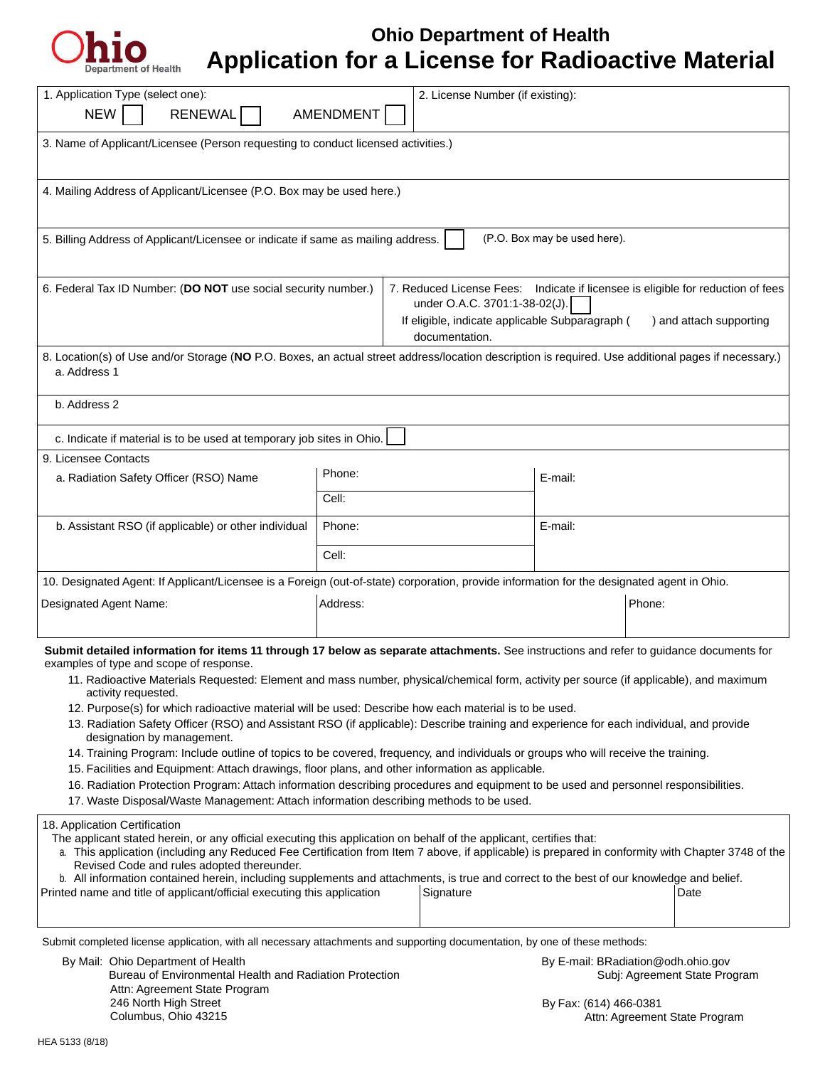

# **Ohio Department of Health Application for a License for Radioactive Material**

| 1. Application Type (select one):<br>2. License Number (if existing):<br>AMENDMENT<br><b>NEW</b><br><b>RENEWAL</b>                                                                                                                                                                                                                                                                                                                                                                                                                                                                                                                                                                                                                                                                                                                                                                                                                                                                                                                                                                                               |          |                                                                                                                                                                                                                  |         |                                                                     |  |
|------------------------------------------------------------------------------------------------------------------------------------------------------------------------------------------------------------------------------------------------------------------------------------------------------------------------------------------------------------------------------------------------------------------------------------------------------------------------------------------------------------------------------------------------------------------------------------------------------------------------------------------------------------------------------------------------------------------------------------------------------------------------------------------------------------------------------------------------------------------------------------------------------------------------------------------------------------------------------------------------------------------------------------------------------------------------------------------------------------------|----------|------------------------------------------------------------------------------------------------------------------------------------------------------------------------------------------------------------------|---------|---------------------------------------------------------------------|--|
| 3. Name of Applicant/Licensee (Person requesting to conduct licensed activities.)                                                                                                                                                                                                                                                                                                                                                                                                                                                                                                                                                                                                                                                                                                                                                                                                                                                                                                                                                                                                                                |          |                                                                                                                                                                                                                  |         |                                                                     |  |
| 4. Mailing Address of Applicant/Licensee (P.O. Box may be used here.)                                                                                                                                                                                                                                                                                                                                                                                                                                                                                                                                                                                                                                                                                                                                                                                                                                                                                                                                                                                                                                            |          |                                                                                                                                                                                                                  |         |                                                                     |  |
| (P.O. Box may be used here).<br>5. Billing Address of Applicant/Licensee or indicate if same as mailing address.                                                                                                                                                                                                                                                                                                                                                                                                                                                                                                                                                                                                                                                                                                                                                                                                                                                                                                                                                                                                 |          |                                                                                                                                                                                                                  |         |                                                                     |  |
| 6. Federal Tax ID Number: (DO NOT use social security number.)                                                                                                                                                                                                                                                                                                                                                                                                                                                                                                                                                                                                                                                                                                                                                                                                                                                                                                                                                                                                                                                   |          | 7. Reduced License Fees: Indicate if licensee is eligible for reduction of fees<br>under O.A.C. 3701:1-38-02(J).<br>If eligible, indicate applicable Subparagraph (<br>) and attach supporting<br>documentation. |         |                                                                     |  |
| 8. Location(s) of Use and/or Storage (NO P.O. Boxes, an actual street address/location description is required. Use additional pages if necessary.)<br>a. Address 1                                                                                                                                                                                                                                                                                                                                                                                                                                                                                                                                                                                                                                                                                                                                                                                                                                                                                                                                              |          |                                                                                                                                                                                                                  |         |                                                                     |  |
| b. Address 2                                                                                                                                                                                                                                                                                                                                                                                                                                                                                                                                                                                                                                                                                                                                                                                                                                                                                                                                                                                                                                                                                                     |          |                                                                                                                                                                                                                  |         |                                                                     |  |
| c. Indicate if material is to be used at temporary job sites in Ohio.                                                                                                                                                                                                                                                                                                                                                                                                                                                                                                                                                                                                                                                                                                                                                                                                                                                                                                                                                                                                                                            |          |                                                                                                                                                                                                                  |         |                                                                     |  |
| 9. Licensee Contacts                                                                                                                                                                                                                                                                                                                                                                                                                                                                                                                                                                                                                                                                                                                                                                                                                                                                                                                                                                                                                                                                                             | Phone:   |                                                                                                                                                                                                                  |         |                                                                     |  |
| a. Radiation Safety Officer (RSO) Name                                                                                                                                                                                                                                                                                                                                                                                                                                                                                                                                                                                                                                                                                                                                                                                                                                                                                                                                                                                                                                                                           | Cell:    |                                                                                                                                                                                                                  | E-mail: |                                                                     |  |
| b. Assistant RSO (if applicable) or other individual                                                                                                                                                                                                                                                                                                                                                                                                                                                                                                                                                                                                                                                                                                                                                                                                                                                                                                                                                                                                                                                             | Phone:   |                                                                                                                                                                                                                  | E-mail: |                                                                     |  |
|                                                                                                                                                                                                                                                                                                                                                                                                                                                                                                                                                                                                                                                                                                                                                                                                                                                                                                                                                                                                                                                                                                                  | Cell:    |                                                                                                                                                                                                                  |         |                                                                     |  |
| 10. Designated Agent: If Applicant/Licensee is a Foreign (out-of-state) corporation, provide information for the designated agent in Ohio.                                                                                                                                                                                                                                                                                                                                                                                                                                                                                                                                                                                                                                                                                                                                                                                                                                                                                                                                                                       |          |                                                                                                                                                                                                                  |         |                                                                     |  |
| Designated Agent Name:                                                                                                                                                                                                                                                                                                                                                                                                                                                                                                                                                                                                                                                                                                                                                                                                                                                                                                                                                                                                                                                                                           | Address: |                                                                                                                                                                                                                  |         | Phone:                                                              |  |
| Submit detailed information for items 11 through 17 below as separate attachments. See instructions and refer to guidance documents for<br>examples of type and scope of response.<br>11. Radioactive Materials Requested: Element and mass number, physical/chemical form, activity per source (if applicable), and maximum<br>activity requested.<br>12. Purpose(s) for which radioactive material will be used: Describe how each material is to be used.<br>13. Radiation Safety Officer (RSO) and Assistant RSO (if applicable): Describe training and experience for each individual, and provide<br>designation by management.<br>14. Training Program: Include outline of topics to be covered, frequency, and individuals or groups who will receive the training.<br>15. Facilities and Equipment: Attach drawings, floor plans, and other information as applicable.<br>16. Radiation Protection Program: Attach information describing procedures and equipment to be used and personnel responsibilities.<br>17. Waste Disposal/Waste Management: Attach information describing methods to be used. |          |                                                                                                                                                                                                                  |         |                                                                     |  |
| 18. Application Certification<br>The applicant stated herein, or any official executing this application on behalf of the applicant, certifies that:<br>a. This application (including any Reduced Fee Certification from Item 7 above, if applicable) is prepared in conformity with Chapter 3748 of the<br>Revised Code and rules adopted thereunder.<br>b. All information contained herein, including supplements and attachments, is true and correct to the best of our knowledge and belief.<br>Printed name and title of applicant/official executing this application<br>Signature<br>Date                                                                                                                                                                                                                                                                                                                                                                                                                                                                                                              |          |                                                                                                                                                                                                                  |         |                                                                     |  |
| Submit completed license application, with all necessary attachments and supporting documentation, by one of these methods:<br>By Mail: Ohio Department of Health<br>Bureau of Environmental Health and Radiation Protection<br>Attn: Agreement State Program                                                                                                                                                                                                                                                                                                                                                                                                                                                                                                                                                                                                                                                                                                                                                                                                                                                    |          |                                                                                                                                                                                                                  |         | By E-mail: BRadiation@odh.ohio.gov<br>Subj: Agreement State Program |  |

246 North High Street Columbus, Ohio 43215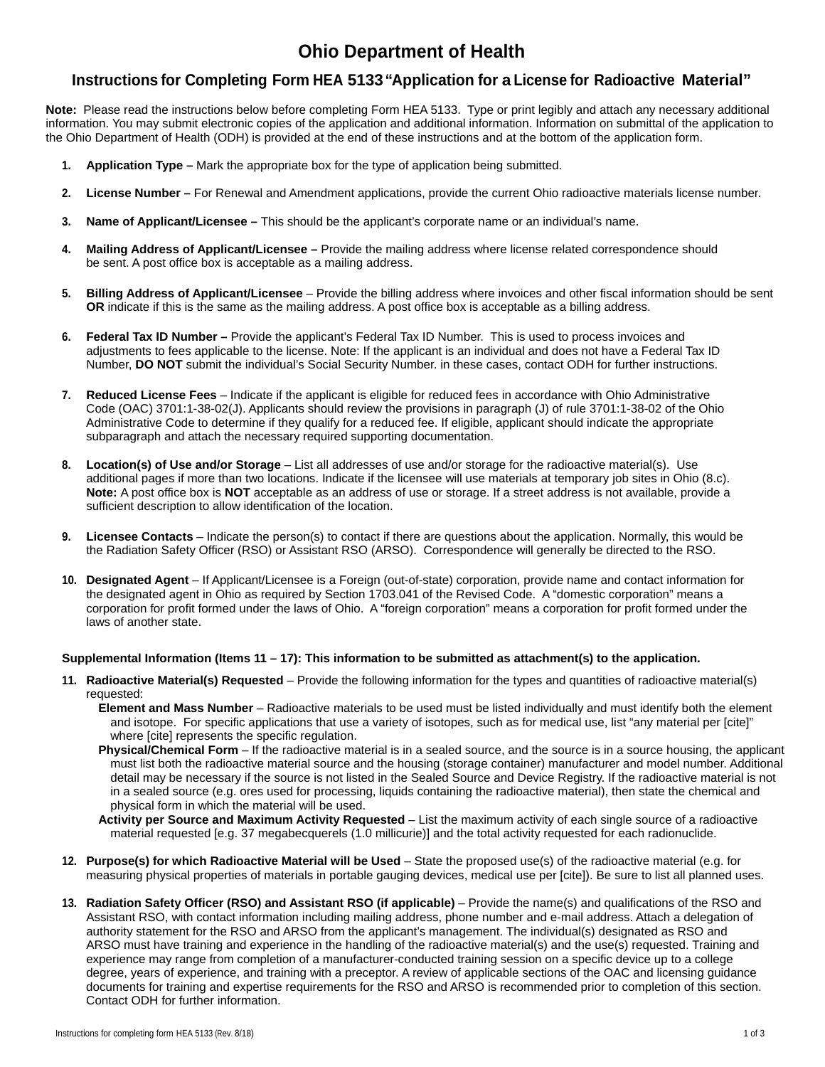### **Ohio Department of Health**

### **Instructions for Completing Form HEA 5133"Application for a License for Radioactive Material"**

**Note:** Please read the instructions below before completing Form HEA 5133. Type or print legibly and attach any necessary additional information. You may submit electronic copies of the application and additional information. Information on submittal of the application to the Ohio Department of Health (ODH) is provided at the end of these instructions and at the bottom of the application form.

- **1. Application Type** Mark the appropriate box for the type of application being submitted.
- **2. License Number** For Renewal and Amendment applications, provide the current Ohio radioactive materials license number.
- **3. Name of Applicant/Licensee** This should be the applicant's corporate name or an individual's name.
- **4. Mailing Address of Applicant/Licensee** Provide the mailing address where license related correspondence should be sent. A post office box is acceptable as a mailing address.
- **5. Billing Address of Applicant/Licensee**  Provide the billing address where invoices and other fiscal information should be sent **OR** indicate if this is the same as the mailing address. A post office box is acceptable as a billing address.
- **6. Federal Tax ID Number** Provide the applicant's Federal Tax ID Number. This is used to process invoices and adjustments to fees applicable to the license. Note: If the applicant is an individual and does not have a Federal Tax ID Number, **DO NOT** submit the individual's Social Security Number. in these cases, contact ODH for further instructions.
- **7. Reduced License Fees**  Indicate if the applicant is eligible for reduced fees in accordance with Ohio Administrative Code (OAC) 3701:1-38-02(J). Applicants should review the provisions in paragraph (J) of rule 3701:1-38-02 of the Ohio Administrative Code to determine if they qualify for a reduced fee. If eligible, applicant should indicate the appropriate subparagraph and attach the necessary required supporting documentation.
- **8. Location(s) of Use and/or Storage**  List all addresses of use and/or storage for the radioactive material(s). Use additional pages if more than two locations. Indicate if the licensee will use materials at temporary job sites in Ohio (8.c). **Note:** A post office box is **NOT** acceptable as an address of use or storage. If a street address is not available, provide a sufficient description to allow identification of the location.
- **9. Licensee Contacts**  Indicate the person(s) to contact if there are questions about the application. Normally, this would be the Radiation Safety Officer (RSO) or Assistant RSO (ARSO). Correspondence will generally be directed to the RSO.
- **10. Designated Agent** If Applicant/Licensee is a Foreign (out-of-state) corporation, provide name and contact information for the designated agent in Ohio as required by Section 1703.041 of the Revised Code. A "domestic corporation" means a corporation for profit formed under the laws of Ohio. A "foreign corporation" means a corporation for profit formed under the laws of another state.

#### **Supplemental Information (Items 11 – 17): This information to be submitted as attachment(s) to the application.**

- **11. Radioactive Material(s) Requested**  Provide the following information for the types and quantities of radioactive material(s) requested:
	- **Element and Mass Number**  Radioactive materials to be used must be listed individually and must identify both the element and isotope. For specific applications that use a variety of isotopes, such as for medical use, list "any material per [cite]" where [cite] represents the specific regulation.
	- **Physical/Chemical Form**  If the radioactive material is in a sealed source, and the source is in a source housing, the applicant must list both the radioactive material source and the housing (storage container) manufacturer and model number. Additional detail may be necessary if the source is not listed in the Sealed Source and Device Registry. If the radioactive material is not in a sealed source (e.g. ores used for processing, liquids containing the radioactive material), then state the chemical and physical form in which the material will be used.
	- **Activity per Source and Maximum Activity Requested**  List the maximum activity of each single source of a radioactive material requested [e.g. 37 megabecquerels (1.0 millicurie)] and the total activity requested for each radionuclide.
- **12. Purpose(s) for which Radioactive Material will be Used**  State the proposed use(s) of the radioactive material (e.g. for measuring physical properties of materials in portable gauging devices, medical use per [cite]). Be sure to list all planned uses.
- **13. Radiation Safety Officer (RSO) and Assistant RSO (if applicable)**  Provide the name(s) and qualifications of the RSO and Assistant RSO, with contact information including mailing address, phone number and e-mail address. Attach a delegation of authority statement for the RSO and ARSO from the applicant's management. The individual(s) designated as RSO and ARSO must have training and experience in the handling of the radioactive material(s) and the use(s) requested. Training and experience may range from completion of a manufacturer-conducted training session on a specific device up to a college degree, years of experience, and training with a preceptor. A review of applicable sections of the OAC and licensing guidance documents for training and expertise requirements for the RSO and ARSO is recommended prior to completion of this section. Contact ODH for further information.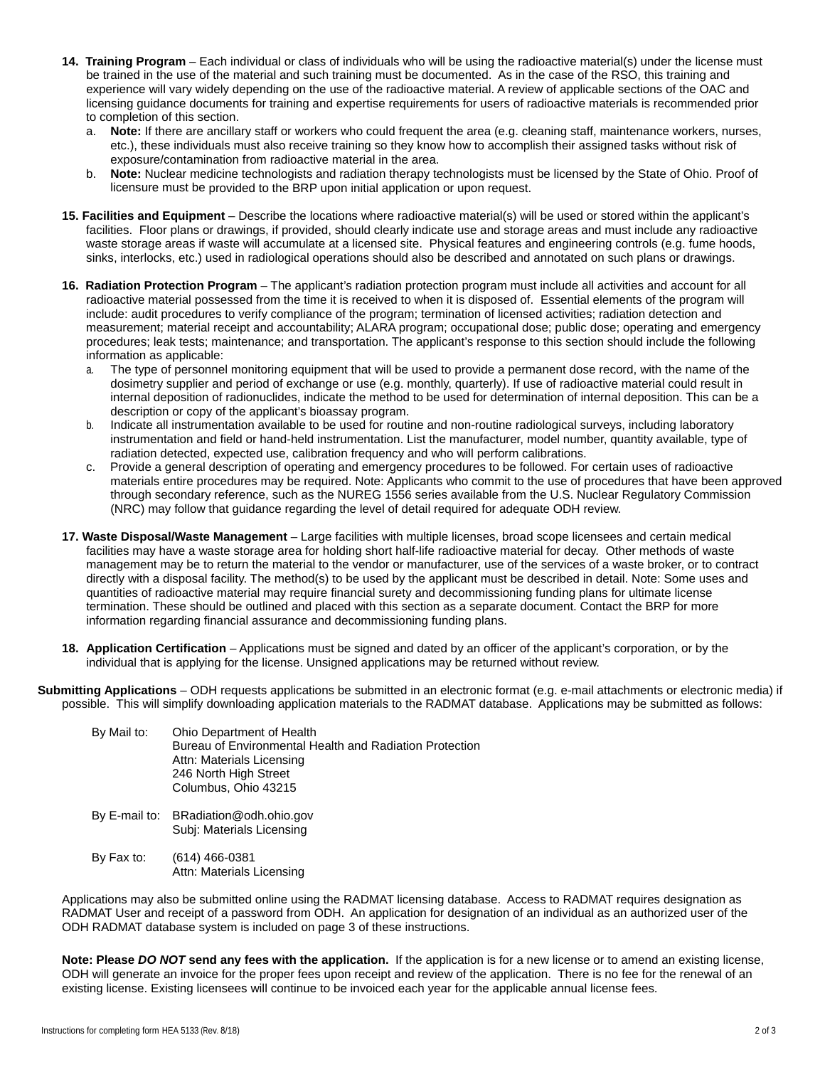- **14. Training Program**  Each individual or class of individuals who will be using the radioactive material(s) under the license must be trained in the use of the material and such training must be documented. As in the case of the RSO, this training and experience will vary widely depending on the use of the radioactive material. A review of applicable sections of the OAC and licensing guidance documents for training and expertise requirements for users of radioactive materials is recommended prior to completion of this section.
	- a. **Note:** If there are ancillary staff or workers who could frequent the area (e.g. cleaning staff, maintenance workers, nurses, etc.), these individuals must also receive training so they know how to accomplish their assigned tasks without risk of exposure/contamination from radioactive material in the area.
	- b. **Note:** Nuclear medicine technologists and radiation therapy technologists must be licensed by the State of Ohio. Proof of licensure must be provided to the BRP upon initial application or upon request.
- **15. Facilities and Equipment**  Describe the locations where radioactive material(s) will be used or stored within the applicant's facilities. Floor plans or drawings, if provided, should clearly indicate use and storage areas and must include any radioactive waste storage areas if waste will accumulate at a licensed site. Physical features and engineering controls (e.g. fume hoods, sinks, interlocks, etc.) used in radiological operations should also be described and annotated on such plans or drawings.
- **16. Radiation Protection Program**  The applicant's radiation protection program must include all activities and account for all radioactive material possessed from the time it is received to when it is disposed of. Essential elements of the program will include: audit procedures to verify compliance of the program; termination of licensed activities; radiation detection and measurement; material receipt and accountability; ALARA program; occupational dose; public dose; operating and emergency procedures; leak tests; maintenance; and transportation. The applicant's response to this section should include the following information as applicable:
	- a. The type of personnel monitoring equipment that will be used to provide a permanent dose record, with the name of the dosimetry supplier and period of exchange or use (e.g. monthly, quarterly). If use of radioactive material could result in internal deposition of radionuclides, indicate the method to be used for determination of internal deposition. This can be a description or copy of the applicant's bioassay program.
	- b. Indicate all instrumentation available to be used for routine and non-routine radiological surveys, including laboratory instrumentation and field or hand-held instrumentation. List the manufacturer, model number, quantity available, type of radiation detected, expected use, calibration frequency and who will perform calibrations.
	- c. Provide a general description of operating and emergency procedures to be followed. For certain uses of radioactive materials entire procedures may be required. Note: Applicants who commit to the use of procedures that have been approved through secondary reference, such as the NUREG 1556 series available from the U.S. Nuclear Regulatory Commission (NRC) may follow that guidance regarding the level of detail required for adequate ODH review.
- **17. Waste Disposal/Waste Management**  Large facilities with multiple licenses, broad scope licensees and certain medical facilities may have a waste storage area for holding short half-life radioactive material for decay. Other methods of waste management may be to return the material to the vendor or manufacturer, use of the services of a waste broker, or to contract directly with a disposal facility. The method(s) to be used by the applicant must be described in detail. Note: Some uses and quantities of radioactive material may require financial surety and decommissioning funding plans for ultimate license termination. These should be outlined and placed with this section as a separate document. Contact the BRP for more information regarding financial assurance and decommissioning funding plans.
- **18. Application Certification** Applications must be signed and dated by an officer of the applicant's corporation, or by the individual that is applying for the license. Unsigned applications may be returned without review.
- **Submitting Applications**  ODH requests applications be submitted in an electronic format (e.g. e-mail attachments or electronic media) if possible. This will simplify downloading application materials to the RADMAT database. Applications may be submitted as follows:

| By Mail to: | Ohio Department of Health                               |
|-------------|---------------------------------------------------------|
|             | Bureau of Environmental Health and Radiation Protection |
|             | Attn: Materials Licensing                               |
|             | 246 North High Street                                   |
|             | Columbus, Ohio 43215                                    |
|             |                                                         |

- By E-mail to: BRadiation@odh.ohio.gov Subj: Materials Licensing
- By Fax to: (614) 466-0381 Attn: Materials Licensing

Applications may also be submitted online using the RADMAT licensing database. Access to RADMAT requires designation as RADMAT User and receipt of a password from ODH. An application for designation of an individual as an authorized user of the ODH RADMAT database system is included on page 3 of these instructions.

**Note: Please** *DO NOT* **send any fees with the application.** If the application is for a new license or to amend an existing license, ODH will generate an invoice for the proper fees upon receipt and review of the application. There is no fee for the renewal of an existing license. Existing licensees will continue to be invoiced each year for the applicable annual license fees.